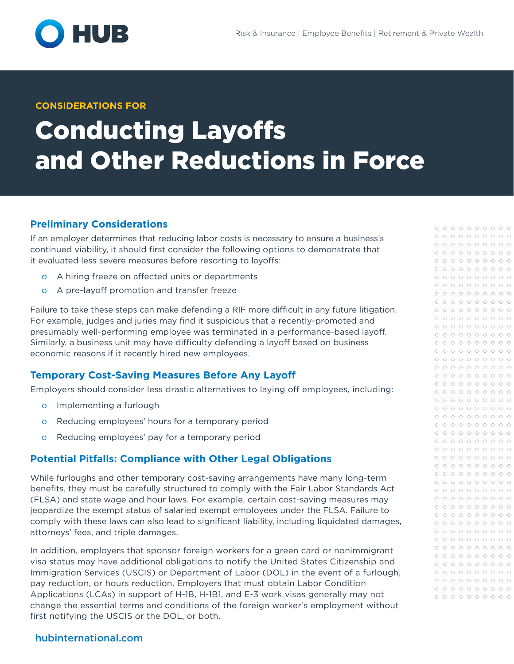

## **CONSIDERATIONS FOR**

# Conducting Layoffs and Other Reductions in Force

# **Preliminary Considerations**

If an employer determines that reducing labor costs is necessary to ensure a business's continued viability, it should first consider the following options to demonstrate that it evaluated less severe measures before resorting to layoffs:

- o A hiring freeze on affected units or departments
- o A pre-layoff promotion and transfer freeze

Failure to take these steps can make defending a RIF more difficult in any future litigation. For example, judges and juries may find it suspicious that a recently-promoted and presumably well-performing employee was terminated in a performance-based layoff. Similarly, a business unit may have difficulty defending a layoff based on business economic reasons if it recently hired new employees.

# **Temporary Cost-Saving Measures Before Any Layoff**

Employers should consider less drastic alternatives to laying off employees, including:

- o Implementing a furlough
- o Reducing employees' hours for a temporary period
- o Reducing employees' pay for a temporary period

# **Potential Pitfalls: Compliance with Other Legal Obligations**

While furloughs and other temporary cost-saving arrangements have many long-term benefits, they must be carefully structured to comply with the Fair Labor Standards Act (FLSA) and state wage and hour laws. For example, certain cost-saving measures may jeopardize the exempt status of salaried exempt employees under the FLSA. Failure to comply with these laws can also lead to significant liability, including liquidated damages, attorneys' fees, and triple damages.

In addition, employers that sponsor foreign workers for a green card or nonimmigrant visa status may have additional obligations to notify the United States Citizenship and Immigration Services (USCIS) or Department of Labor (DOL) in the event of a furlough, pay reduction, or hours reduction. Employers that must obtain Labor Condition Applications (LCAs) in support of H-1B, H-1B1, and E-3 work visas generally may not change the essential terms and conditions of the foreign worker's employment without first notifying the USCIS or the DOL, or both.

# [hubinternational.com](http://hubinternational.com)

 $0 0 0 0 0 0 0 0 0 0 0$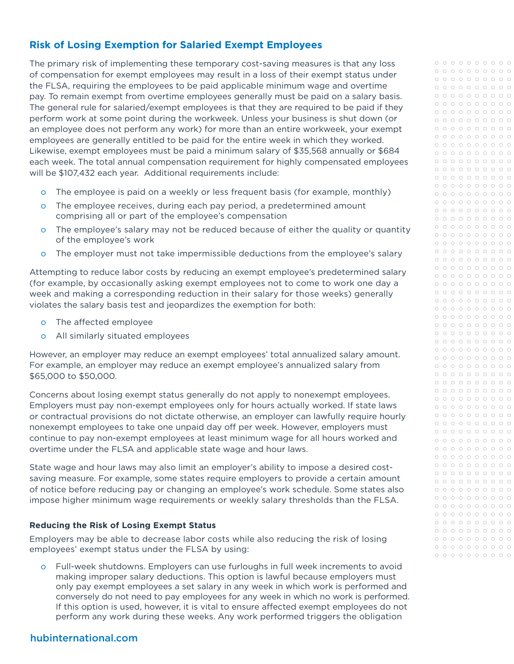# **Risk of Losing Exemption for Salaried Exempt Employees**

The primary risk of implementing these temporary cost-saving measures is that any loss of compensation for exempt employees may result in a loss of their exempt status under the FLSA, requiring the employees to be paid applicable minimum wage and overtime pay. To remain exempt from overtime employees generally must be paid on a salary basis. The general rule for salaried/exempt employees is that they are required to be paid if they perform work at some point during the workweek. Unless your business is shut down (or an employee does not perform any work) for more than an entire workweek, your exempt employees are generally entitled to be paid for the entire week in which they worked. Likewise, exempt employees must be paid a minimum salary of \$35,568 annually or \$684 each week. The total annual compensation requirement for highly compensated employees will be \$107,432 each year. Additional requirements include:

- o The employee is paid on a weekly or less frequent basis (for example, monthly)
- o The employee receives, during each pay period, a predetermined amount comprising all or part of the employee's compensation
- o The employee's salary may not be reduced because of either the quality or quantity of the employee's work
- o The employer must not take impermissible deductions from the employee's salary

Attempting to reduce labor costs by reducing an exempt employee's predetermined salary (for example, by occasionally asking exempt employees not to come to work one day a week and making a corresponding reduction in their salary for those weeks) generally violates the salary basis test and jeopardizes the exemption for both:

- o The affected employee
- o All similarly situated employees

However, an employer may reduce an exempt employees' total annualized salary amount. For example, an employer may reduce an exempt employee's annualized salary from \$65,000 to \$50,000.

Concerns about losing exempt status generally do not apply to nonexempt employees. Employers must pay non-exempt employees only for hours actually worked. If state laws or contractual provisions do not dictate otherwise, an employer can lawfully require hourly nonexempt employees to take one unpaid day off per week. However, employers must continue to pay non-exempt employees at least minimum wage for all hours worked and overtime under the FLSA and applicable state wage and hour laws.

State wage and hour laws may also limit an employer's ability to impose a desired costsaving measure. For example, some states require employers to provide a certain amount of notice before reducing pay or changing an employee's work schedule. Some states also impose higher minimum wage requirements or weekly salary thresholds than the FLSA.

## **Reducing the Risk of Losing Exempt Status**

Employers may be able to decrease labor costs while also reducing the risk of losing employees' exempt status under the FLSA by using:

o Full-week shutdowns. Employers can use furloughs in full week increments to avoid making improper salary deductions. This option is lawful because employers must only pay exempt employees a set salary in any week in which work is performed and conversely do not need to pay employees for any week in which no work is performed. If this option is used, however, it is vital to ensure affected exempt employees do not perform any work during these weeks. Any work performed triggers the obligation

# [hubinternational.com](http://hubinternational.com)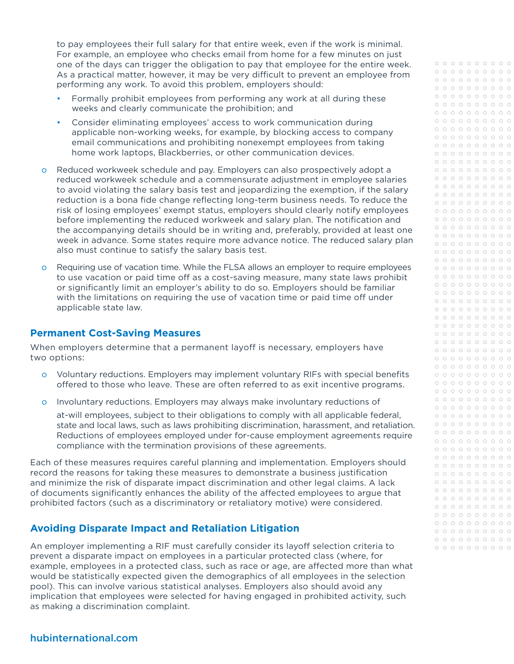to pay employees their full salary for that entire week, even if the work is minimal. For example, an employee who checks email from home for a few minutes on just one of the days can trigger the obligation to pay that employee for the entire week. As a practical matter, however, it may be very difficult to prevent an employee from performing any work. To avoid this problem, employers should:

- Formally prohibit employees from performing any work at all during these weeks and clearly communicate the prohibition; and
- Consider eliminating employees' access to work communication during applicable non-working weeks, for example, by blocking access to company email communications and prohibiting nonexempt employees from taking home work laptops, Blackberries, or other communication devices.
- o Reduced workweek schedule and pay. Employers can also prospectively adopt a reduced workweek schedule and a commensurate adjustment in employee salaries to avoid violating the salary basis test and jeopardizing the exemption, if the salary reduction is a bona fide change reflecting long-term business needs. To reduce the risk of losing employees' exempt status, employers should clearly notify employees before implementing the reduced workweek and salary plan. The notification and the accompanying details should be in writing and, preferably, provided at least one week in advance. Some states require more advance notice. The reduced salary plan also must continue to satisfy the salary basis test.
- o Requiring use of vacation time. While the FLSA allows an employer to require employees to use vacation or paid time off as a cost-saving measure, many state laws prohibit or significantly limit an employer's ability to do so. Employers should be familiar with the limitations on requiring the use of vacation time or paid time off under applicable state law.

## **Permanent Cost-Saving Measures**

When employers determine that a permanent layoff is necessary, employers have two options:

- o Voluntary reductions. Employers may implement voluntary RIFs with special benefits offered to those who leave. These are often referred to as exit incentive programs.
- o Involuntary reductions. Employers may always make involuntary reductions of

at-will employees, subject to their obligations to comply with all applicable federal, state and local laws, such as laws prohibiting discrimination, harassment, and retaliation. Reductions of employees employed under for-cause employment agreements require compliance with the termination provisions of these agreements.

Each of these measures requires careful planning and implementation. Employers should record the reasons for taking these measures to demonstrate a business justification and minimize the risk of disparate impact discrimination and other legal claims. A lack of documents significantly enhances the ability of the affected employees to argue that prohibited factors (such as a discriminatory or retaliatory motive) were considered.

# **Avoiding Disparate Impact and Retaliation Litigation**

An employer implementing a RIF must carefully consider its layoff selection criteria to prevent a disparate impact on employees in a particular protected class (where, for example, employees in a protected class, such as race or age, are affected more than what would be statistically expected given the demographics of all employees in the selection pool). This can involve various statistical analyses. Employers also should avoid any implication that employees were selected for having engaged in prohibited activity, such as making a discrimination complaint.

# [hubinternational.com](http://hubinternational.com)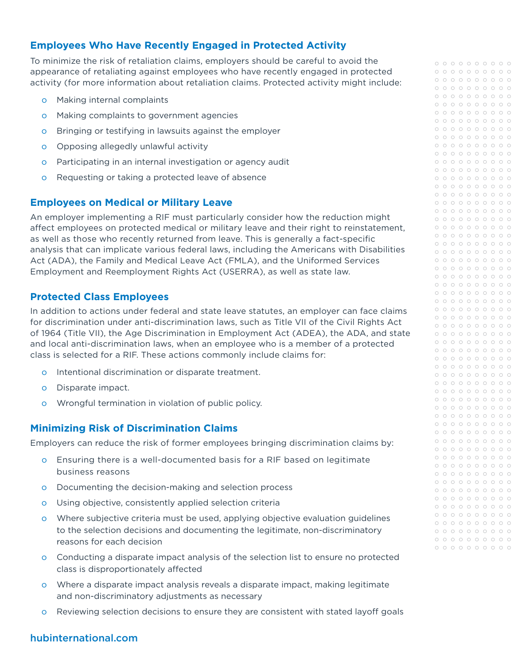# **Employees Who Have Recently Engaged in Protected Activity**

To minimize the risk of retaliation claims, employers should be careful to avoid the appearance of retaliating against employees who have recently engaged in protected activity (for more information about retaliation claims. Protected activity might include:

- o Making internal complaints
- o Making complaints to government agencies
- o Bringing or testifying in lawsuits against the employer
- o Opposing allegedly unlawful activity
- o Participating in an internal investigation or agency audit
- o Requesting or taking a protected leave of absence

## **Employees on Medical or Military Leave**

An employer implementing a RIF must particularly consider how the reduction might affect employees on protected medical or military leave and their right to reinstatement, as well as those who recently returned from leave. This is generally a fact-specific analysis that can implicate various federal laws, including the Americans with Disabilities Act (ADA), the Family and Medical Leave Act (FMLA), and the Uniformed Services Employment and Reemployment Rights Act (USERRA), as well as state law.

## **Protected Class Employees**

In addition to actions under federal and state leave statutes, an employer can face claims for discrimination under anti-discrimination laws, such as Title VII of the Civil Rights Act of 1964 (Title VII), the Age Discrimination in Employment Act (ADEA), the ADA, and state and local anti-discrimination laws, when an employee who is a member of a protected class is selected for a RIF. These actions commonly include claims for:

- o Intentional discrimination or disparate treatment.
- o Disparate impact.
- o Wrongful termination in violation of public policy.

# **Minimizing Risk of Discrimination Claims**

Employers can reduce the risk of former employees bringing discrimination claims by:

- o Ensuring there is a well-documented basis for a RIF based on legitimate business reasons
- o Documenting the decision-making and selection process
- o Using objective, consistently applied selection criteria
- o Where subjective criteria must be used, applying objective evaluation guidelines to the selection decisions and documenting the legitimate, non-discriminatory reasons for each decision
- o Conducting a disparate impact analysis of the selection list to ensure no protected class is disproportionately affected
- o Where a disparate impact analysis reveals a disparate impact, making legitimate and non-discriminatory adjustments as necessary
- o Reviewing selection decisions to ensure they are consistent with stated layoff goals

# [hubinternational.com](http://hubinternational.com)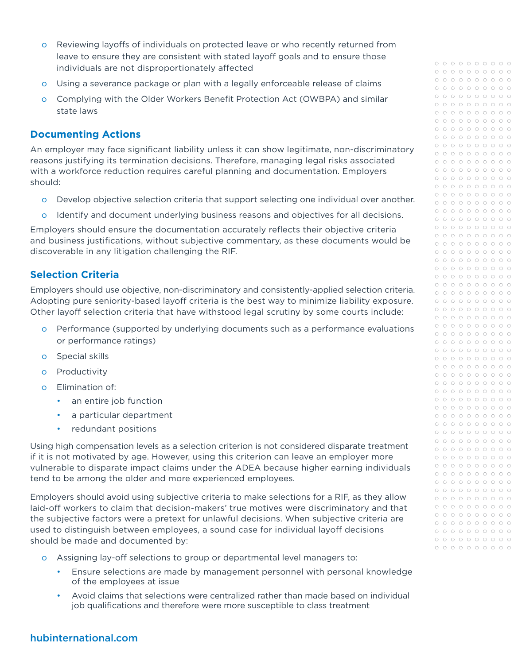- o Reviewing layoffs of individuals on protected leave or who recently returned from leave to ensure they are consistent with stated layoff goals and to ensure those individuals are not disproportionately affected
- o Using a severance package or plan with a legally enforceable release of claims
- o Complying with the Older Workers Benefit Protection Act (OWBPA) and similar state laws

## **Documenting Actions**

An employer may face significant liability unless it can show legitimate, non-discriminatory reasons justifying its termination decisions. Therefore, managing legal risks associated with a workforce reduction requires careful planning and documentation. Employers should:

- o Develop objective selection criteria that support selecting one individual over another.
- o Identify and document underlying business reasons and objectives for all decisions.

Employers should ensure the documentation accurately reflects their objective criteria and business justifications, without subjective commentary, as these documents would be discoverable in any litigation challenging the RIF.

## **Selection Criteria**

Employers should use objective, non-discriminatory and consistently-applied selection criteria. Adopting pure seniority-based layoff criteria is the best way to minimize liability exposure. Other layoff selection criteria that have withstood legal scrutiny by some courts include:

- o Performance (supported by underlying documents such as a performance evaluations or performance ratings)
- o Special skills
- o Productivity
- o Elimination of:
	- an entire job function
	- a particular department
	- redundant positions

Using high compensation levels as a selection criterion is not considered disparate treatment if it is not motivated by age. However, using this criterion can leave an employer more vulnerable to disparate impact claims under the ADEA because higher earning individuals tend to be among the older and more experienced employees.

Employers should avoid using subjective criteria to make selections for a RIF, as they allow laid-off workers to claim that decision-makers' true motives were discriminatory and that the subjective factors were a pretext for unlawful decisions. When subjective criteria are used to distinguish between employees, a sound case for individual layoff decisions should be made and documented by:

- o Assigning lay-off selections to group or departmental level managers to:
	- Ensure selections are made by management personnel with personal knowledge of the employees at issue
	- Avoid claims that selections were centralized rather than made based on individual job qualifications and therefore were more susceptible to class treatment

| $\circ$            | $\circ$ | $\circ$ | $\circ$ | $\circ$ | $\circ$ | $\circ$            | $\circ$ | $\circ$            | $\circ$            |
|--------------------|---------|---------|---------|---------|---------|--------------------|---------|--------------------|--------------------|
| $\circ$            | $\circ$ | $\circ$ | $\circ$ | $\circ$ | $\circ$ | $\circ$            | $\circ$ | $\circ$            | $\circ$            |
| $\circ$            | $\circ$ | $\circ$ | $\circ$ | $\circ$ | $\circ$ | $\circ$            | $\circ$ | $\circ$            | $\circ$            |
| $\circ$            | $\circ$ | $\circ$ | $\circ$ | $\circ$ | $\circ$ | $\circ$            | $\circ$ | $\circ$            | $\circ$            |
| $\circ$            | $\circ$ | $\circ$ | $\circ$ | $\circ$ | $\circ$ | $\circ$            | $\circ$ | $\circ$            | $\circ$            |
| $\circ$            | $\circ$ | $\circ$ | $\circ$ | $\circ$ | $\circ$ | $\circ$            | $\circ$ | $\circ$            | $\circ$            |
| $\circ$            | $\circ$ | $\circ$ | $\circ$ | $\circ$ | $\circ$ | $\circ$            | $\circ$ | $\circ$            | $\circ$            |
| $\circ$            | $\circ$ | $\circ$ | $\circ$ | $\circ$ | $\circ$ | $\circ$            | $\circ$ | $\circ$            | $\circ$            |
| $\circ$            | $\circ$ | $\circ$ | $\circ$ | $\circ$ | $\circ$ | $\circ$            | $\circ$ | $\circ$            | $\circ$            |
| $\circ$            | $\circ$ | $\circ$ | $\circ$ | $\circ$ | $\circ$ | $\circ$            | $\circ$ | $\circ$            | $\circ$            |
| $\circ$            | $\circ$ | $\circ$ | $\circ$ | $\circ$ | $\circ$ | $\circ$            | $\circ$ | $\circ$            | $\circ$            |
| $\circ$            | $\circ$ | $\circ$ | $\circ$ | $\circ$ | $\circ$ | $\circ$            | $\circ$ | $\circ$            | $\circ$            |
| $\circ$            | $\circ$ | $\circ$ | $\circ$ | $\circ$ | $\circ$ | $\circ$            | $\circ$ | $\circ$            | $\circ$            |
| $\circ$            | $\circ$ | $\circ$ | $\circ$ | $\circ$ | $\circ$ | $\circ$            | $\circ$ | $\circ$            | $\circ$            |
| $\circ$            | $\circ$ | $\circ$ | $\circ$ | $\circ$ | $\circ$ | $\circ$            | $\circ$ | $\circ$            | $\circ$            |
| $\circ$            | $\circ$ | $\circ$ | $\circ$ | $\circ$ | $\circ$ | $\circ$            | $\circ$ | $\circ$            | $\circ$            |
| $\circ$            | $\circ$ | $\circ$ | $\circ$ | $\circ$ | $\circ$ | $\circ$            | $\circ$ | $\circ$            | $\circ$            |
| $\circ$            | $\circ$ | $\circ$ | $\circ$ | $\circ$ | $\circ$ | $\circ$            | $\circ$ | $\circ$            | $\circ$            |
|                    | $\circ$ |         |         | $\circ$ |         |                    |         |                    |                    |
| $\circ$<br>$\circ$ | $\circ$ | $\circ$ | $\circ$ |         | $\circ$ | $\circ$<br>$\circ$ | $\circ$ | $\circ$<br>$\circ$ | $\circ$<br>$\circ$ |
|                    |         | $\circ$ | $\circ$ | $\circ$ | $\circ$ |                    | $\circ$ |                    |                    |
| $\circ$            | $\circ$ | $\circ$ | $\circ$ | $\circ$ | $\circ$ | $\circ$            | $\circ$ | $\circ$            | $\circ$            |
| $\circ$            | $\circ$ | $\circ$ | $\circ$ | $\circ$ | $\circ$ | $\circ$            | $\circ$ | $\circ$            | $\circ$            |
| $\circ$            | $\circ$ | $\circ$ | $\circ$ | $\circ$ | $\circ$ | $\circ$            | $\circ$ | $\circ$            | $\circ$            |
| $\circ$            | $\circ$ | $\circ$ | $\circ$ | $\circ$ | $\circ$ | $\circ$            | $\circ$ | $\circ$            | $\circ$            |
| $\circ$            | $\circ$ | $\circ$ | $\circ$ | $\circ$ | $\circ$ | $\circ$            | $\circ$ | $\circ$            | $\circ$            |
| $\circ$            | $\circ$ | $\circ$ | $\circ$ | $\circ$ | $\circ$ | $\circ$            | $\circ$ | $\circ$            | $\circ$            |
| $\circ$            | $\circ$ | $\circ$ | $\circ$ | $\circ$ | $\circ$ | $\circ$            | $\circ$ | $\circ$            | $\circ$            |
| $\circ$            | $\circ$ | $\circ$ | $\circ$ | $\circ$ | $\circ$ | $\circ$            | $\circ$ | $\circ$            | $\circ$            |
| $\circ$            | $\circ$ | $\circ$ | $\circ$ | $\circ$ | $\circ$ | $\circ$            | $\circ$ | $\circ$            | $\circ$            |
| $\circ$            | $\circ$ | $\circ$ | $\circ$ | $\circ$ | $\circ$ | $\circ$            | $\circ$ | $\circ$            | $\circ$            |
| $\circ$            | $\circ$ | $\circ$ | $\circ$ | $\circ$ | $\circ$ | $\circ$            | $\circ$ | $\circ$            | $\circ$            |
| $\circ$            | $\circ$ | $\circ$ | $\circ$ | $\circ$ | $\circ$ | $\circ$            | $\circ$ | $\circ$            | $\circ$            |
| $\circ$            | $\circ$ | $\circ$ | $\circ$ | $\circ$ | $\circ$ | $\circ$            | $\circ$ | $\circ$            | $\circ$            |
| $\circ$            | $\circ$ | $\circ$ | $\circ$ | $\circ$ | $\circ$ | $\circ$            | $\circ$ | $\circ$            | $\circ$            |
| $\circ$            | $\circ$ | $\circ$ | $\circ$ | $\circ$ | $\circ$ | $\circ$            | $\circ$ | $\circ$            | $\circ$            |
| $\circ$            | $\circ$ | $\circ$ | $\circ$ | $\circ$ | $\circ$ | $\circ$            | $\circ$ | $\circ$            | $\circ$            |
| $\circ$            | $\circ$ | $\circ$ | $\circ$ | $\circ$ | $\circ$ | $\circ$            | $\circ$ | $\circ$            | $\circ$            |
| $\circ$            | $\circ$ | $\circ$ | $\circ$ | $\circ$ | $\circ$ | $\circ$            | $\circ$ | $\circ$            | $\circ$            |
| $\circ$            | $\circ$ | $\circ$ | $\circ$ | $\circ$ | $\circ$ | $\circ$            | $\circ$ | $\circ$            | $\circ$            |
| $\circ$            | $\circ$ | $\circ$ | $\circ$ | $\circ$ | $\circ$ | $\circ$            | $\circ$ | $\circ$            | $\circ$            |
| $\circ$            | $\circ$ | $\circ$ | $\circ$ | $\circ$ | $\circ$ | $\circ$            | $\circ$ | $\circ$            | $\circ$            |
| $\circ$            | $\circ$ | $\circ$ | $\circ$ | $\circ$ | $\circ$ | $\circ$            | $\circ$ | $\circ$            | $\circ$            |
| $\circ$            | $\circ$ | $\circ$ | $\circ$ | $\circ$ | $\circ$ | $\circ$            | $\circ$ | $\circ$            | $\circ$            |
| $\circ$            | $\circ$ | $\circ$ | $\circ$ | $\circ$ | $\circ$ | $\circ$            | $\circ$ | $\circ$            | $\circ$            |
| $\circ$            | $\circ$ | $\circ$ | $\circ$ | $\circ$ | $\circ$ | $\circ$            | $\circ$ | $\circ$            | $\circ$            |
| $\circ$            | $\circ$ | О       |         | $\circ$ | $\circ$ | О                  | $\circ$ |                    | $\circ$            |
| $\circ$            | $\circ$ | $\circ$ | $\circ$ | $\circ$ | $\circ$ | $\circ$            | $\circ$ | $\circ$            | $\circ$            |
| $\circ$            | $\circ$ | $\circ$ | $\circ$ | $\circ$ | $\circ$ | $\circ$            | $\circ$ | $\circ$            | $\circ$            |
| $\circ$            | $\circ$ | $\circ$ | $\circ$ | $\circ$ | $\circ$ | $\circ$            | $\circ$ | $\circ$            | $\circ$            |
| $\circ$            | $\circ$ | $\circ$ | $\circ$ | $\circ$ | $\circ$ | $\circ$            | $\circ$ | $\circ$            | $\circ$            |
| $\circ$            | $\circ$ | $\circ$ | $\circ$ | $\circ$ | $\circ$ | $\circ$            | $\circ$ | $\circ$            | $\circ$            |
| $\circ$            | $\circ$ | $\circ$ | $\circ$ | $\circ$ | $\circ$ | $\circ$            | $\circ$ | $\circ$            | $\circ$            |
| $\circ$            | $\circ$ | $\circ$ | $\circ$ | $\circ$ | $\circ$ | $\circ$            | $\circ$ | $\circ$            | $\circ$            |
| $\circ$            | $\circ$ | $\circ$ | $\circ$ | $\circ$ | $\circ$ | $\circ$            | $\circ$ | $\circ$            | $\circ$            |
| $\circ$            | $\circ$ | $\circ$ | $\circ$ | $\circ$ | $\circ$ | $\circ$            | $\circ$ | $\circ$            | $\circ$            |
| $\circ$            | $\circ$ | $\circ$ | $\circ$ | $\circ$ | $\circ$ | $\circ$            | $\circ$ | $\circ$            | $\circ$            |
| $\circ$            | $\circ$ | $\circ$ | $\circ$ | $\circ$ | $\circ$ | $\circ$            | $\circ$ | $\circ$            | $\circ$            |
| $\circ$            | $\circ$ | $\circ$ | $\circ$ | $\circ$ | $\circ$ | $\circ$            | $\circ$ | $\circ$            | $\circ$            |
| $\circ$            | $\circ$ | $\circ$ | $\circ$ | $\circ$ | $\circ$ | $\circ$            | $\circ$ | $\circ$            | $\circ$            |
| $\circ$            | $\circ$ | $\circ$ | $\circ$ | $\circ$ | $\circ$ | $\circ$            | $\circ$ | $\circ$            | $\circ$            |
|                    |         |         |         |         |         |                    |         |                    |                    |
|                    |         |         |         |         |         |                    |         |                    |                    |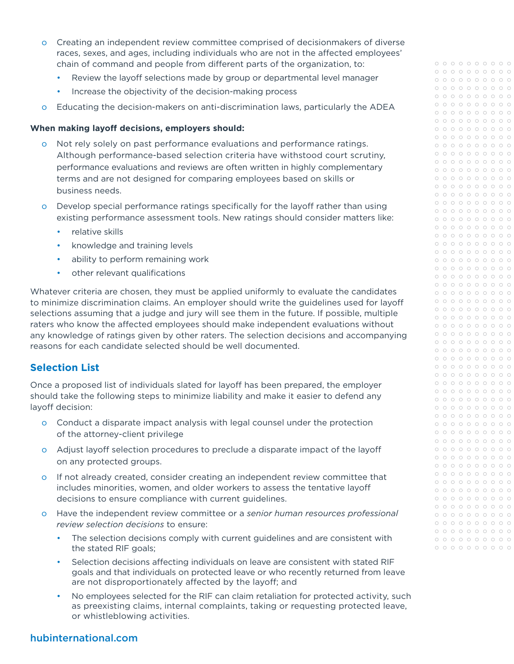- o Creating an independent review committee comprised of decisionmakers of diverse races, sexes, and ages, including individuals who are not in the affected employees' chain of command and people from different parts of the organization, to:
	- Review the layoff selections made by group or departmental level manager
	- Increase the objectivity of the decision-making process
- o Educating the decision-makers on anti-discrimination laws, particularly the ADEA

## **When making layoff decisions, employers should:**

- o Not rely solely on past performance evaluations and performance ratings. Although performance-based selection criteria have withstood court scrutiny, performance evaluations and reviews are often written in highly complementary terms and are not designed for comparing employees based on skills or business needs.
- o Develop special performance ratings specifically for the layoff rather than using existing performance assessment tools. New ratings should consider matters like:
	- relative skills
	- knowledge and training levels
	- ability to perform remaining work
	- other relevant qualifications

Whatever criteria are chosen, they must be applied uniformly to evaluate the candidates to minimize discrimination claims. An employer should write the guidelines used for layoff selections assuming that a judge and jury will see them in the future. If possible, multiple raters who know the affected employees should make independent evaluations without any knowledge of ratings given by other raters. The selection decisions and accompanying reasons for each candidate selected should be well documented.

# **Selection List**

Once a proposed list of individuals slated for layoff has been prepared, the employer should take the following steps to minimize liability and make it easier to defend any layoff decision:

- o Conduct a disparate impact analysis with legal counsel under the protection of the attorney-client privilege
- o Adjust layoff selection procedures to preclude a disparate impact of the layoff on any protected groups.
- o If not already created, consider creating an independent review committee that includes minorities, women, and older workers to assess the tentative layoff decisions to ensure compliance with current guidelines.
- o Have the independent review committee or a *senior human resources professional review selection decisions* to ensure:
	- The selection decisions comply with current guidelines and are consistent with the stated RIF goals;
	- Selection decisions affecting individuals on leave are consistent with stated RIF goals and that individuals on protected leave or who recently returned from leave are not disproportionately affected by the layoff; and
	- No employees selected for the RIF can claim retaliation for protected activity, such as preexisting claims, internal complaints, taking or requesting protected leave, or whistleblowing activities.

# [hubinternational.com](http://hubinternational.com)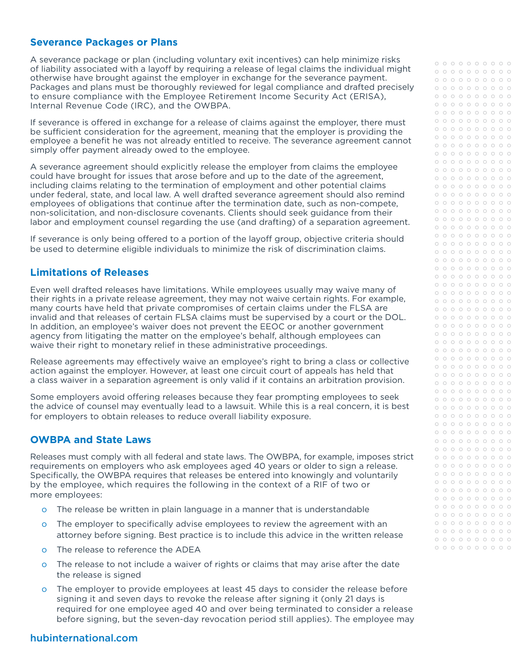## **Severance Packages or Plans**

A severance package or plan (including voluntary exit incentives) can help minimize risks of liability associated with a layoff by requiring a release of legal claims the individual might otherwise have brought against the employer in exchange for the severance payment. Packages and plans must be thoroughly reviewed for legal compliance and drafted precisely to ensure compliance with the Employee Retirement Income Security Act (ERISA), Internal Revenue Code (IRC), and the OWBPA.

If severance is offered in exchange for a release of claims against the employer, there must be sufficient consideration for the agreement, meaning that the employer is providing the employee a benefit he was not already entitled to receive. The severance agreement cannot simply offer payment already owed to the employee.

A severance agreement should explicitly release the employer from claims the employee could have brought for issues that arose before and up to the date of the agreement, including claims relating to the termination of employment and other potential claims under federal, state, and local law. A well drafted severance agreement should also remind employees of obligations that continue after the termination date, such as non-compete, non-solicitation, and non-disclosure covenants. Clients should seek guidance from their labor and employment counsel regarding the use (and drafting) of a separation agreement.

If severance is only being offered to a portion of the layoff group, objective criteria should be used to determine eligible individuals to minimize the risk of discrimination claims.

## **Limitations of Releases**

Even well drafted releases have limitations. While employees usually may waive many of their rights in a private release agreement, they may not waive certain rights. For example, many courts have held that private compromises of certain claims under the FLSA are invalid and that releases of certain FLSA claims must be supervised by a court or the DOL. In addition, an employee's waiver does not prevent the EEOC or another government agency from litigating the matter on the employee's behalf, although employees can waive their right to monetary relief in these administrative proceedings.

Release agreements may effectively waive an employee's right to bring a class or collective action against the employer. However, at least one circuit court of appeals has held that a class waiver in a separation agreement is only valid if it contains an arbitration provision.

Some employers avoid offering releases because they fear prompting employees to seek the advice of counsel may eventually lead to a lawsuit. While this is a real concern, it is best for employers to obtain releases to reduce overall liability exposure.

# **OWBPA and State Laws**

Releases must comply with all federal and state laws. The OWBPA, for example, imposes strict requirements on employers who ask employees aged 40 years or older to sign a release. Specifically, the OWBPA requires that releases be entered into knowingly and voluntarily by the employee, which requires the following in the context of a RIF of two or more employees:

- o The release be written in plain language in a manner that is understandable
- o The employer to specifically advise employees to review the agreement with an attorney before signing. Best practice is to include this advice in the written release
- o The release to reference the ADEA
- o The release to not include a waiver of rights or claims that may arise after the date the release is signed
- o The employer to provide employees at least 45 days to consider the release before signing it and seven days to revoke the release after signing it (only 21 days is required for one employee aged 40 and over being terminated to consider a release before signing, but the seven-day revocation period still applies). The employee may

| $\circ$ | $\circ$ | $\circ$ | $\circ$ | $\circ$ | $\circ$ | $\circ$ | $\circ$ | $\circ$ | $\circ$ |
|---------|---------|---------|---------|---------|---------|---------|---------|---------|---------|
| $\circ$ | $\circ$ | $\circ$ | $\circ$ | $\circ$ | $\circ$ | $\circ$ | $\circ$ | $\circ$ | $\circ$ |
| $\circ$ | $\circ$ | $\circ$ | $\circ$ | $\circ$ | $\circ$ | $\circ$ | $\circ$ | $\circ$ | $\circ$ |
| $\circ$ | $\circ$ | $\circ$ | $\circ$ | $\circ$ | $\circ$ | $\circ$ | $\circ$ | $\circ$ | $\circ$ |
| $\circ$ | $\circ$ | $\circ$ | $\circ$ | $\circ$ | $\circ$ | $\circ$ | $\circ$ | $\circ$ | $\circ$ |
| $\circ$ | $\circ$ | $\circ$ | $\circ$ | $\circ$ | $\circ$ | $\circ$ | $\circ$ | $\circ$ | $\circ$ |
| $\circ$ | $\circ$ | $\circ$ | $\circ$ | $\circ$ | $\circ$ | $\circ$ | $\circ$ | $\circ$ | $\circ$ |
| $\circ$ | $\circ$ | $\circ$ | $\circ$ | $\circ$ | $\circ$ | $\circ$ | $\circ$ | $\circ$ | $\circ$ |
|         |         |         |         |         |         |         |         |         |         |
| $\circ$ | $\circ$ | $\circ$ | $\circ$ | $\circ$ | $\circ$ | $\circ$ | $\circ$ | $\circ$ | $\circ$ |
| $\circ$ | $\circ$ | $\circ$ | $\circ$ | $\circ$ | $\circ$ | $\circ$ | $\circ$ | $\circ$ | $\circ$ |
| $\circ$ | $\circ$ | $\circ$ | $\circ$ | $\circ$ | $\circ$ | $\circ$ | $\circ$ | $\circ$ | $\circ$ |
| $\circ$ | $\circ$ | $\circ$ | $\circ$ | $\circ$ | $\circ$ | $\circ$ | $\circ$ | $\circ$ | $\circ$ |
| $\circ$ | $\circ$ | $\circ$ | $\circ$ | $\circ$ | $\circ$ | $\circ$ | $\circ$ | $\circ$ | $\circ$ |
| $\circ$ | $\circ$ | $\circ$ | $\circ$ | $\circ$ | $\circ$ | $\circ$ | $\circ$ | $\circ$ | $\circ$ |
| $\circ$ | $\circ$ | $\circ$ | $\circ$ | $\circ$ | $\circ$ | $\circ$ | $\circ$ | $\circ$ | $\circ$ |
| $\circ$ | $\circ$ | $\circ$ | $\circ$ | $\circ$ | $\circ$ | $\circ$ | $\circ$ | $\circ$ | $\circ$ |
| $\circ$ | $\circ$ | $\circ$ | $\circ$ | $\circ$ | $\circ$ | $\circ$ | $\circ$ | $\circ$ | $\circ$ |
| $\circ$ | $\circ$ | $\circ$ | $\circ$ | $\circ$ | $\circ$ | $\circ$ | $\circ$ | $\circ$ | $\circ$ |
| $\circ$ | $\circ$ | $\circ$ | $\circ$ | $\circ$ | $\circ$ | $\circ$ | $\circ$ | $\circ$ | $\circ$ |
| $\circ$ | $\circ$ | $\circ$ | $\circ$ | $\circ$ | $\circ$ | $\circ$ | $\circ$ | $\circ$ | $\circ$ |
| $\circ$ | $\circ$ | $\circ$ | $\circ$ | $\circ$ | $\circ$ | $\circ$ | $\circ$ | $\circ$ | $\circ$ |
| $\circ$ | $\circ$ | $\circ$ | $\circ$ | $\circ$ | $\circ$ | $\circ$ | $\circ$ | $\circ$ | $\circ$ |
| $\circ$ | $\circ$ | $\circ$ | $\circ$ | $\circ$ | $\circ$ | $\circ$ | $\circ$ | $\circ$ | $\circ$ |
| $\circ$ | $\circ$ | $\circ$ | $\circ$ | $\circ$ | $\circ$ | $\circ$ | $\circ$ | $\circ$ | $\circ$ |
| $\circ$ | $\circ$ | $\circ$ | $\circ$ | $\circ$ | $\circ$ | $\circ$ | $\circ$ | $\circ$ | $\circ$ |
| $\circ$ | $\circ$ | $\circ$ | $\circ$ | $\circ$ | $\circ$ | $\circ$ | $\circ$ | $\circ$ | $\circ$ |
| $\circ$ | $\circ$ | $\circ$ | $\circ$ | $\circ$ | $\circ$ | $\circ$ | $\circ$ | $\circ$ | $\circ$ |
| $\circ$ | $\circ$ | $\circ$ | $\circ$ | $\circ$ | $\circ$ | $\circ$ | $\circ$ | $\circ$ | $\circ$ |
| $\circ$ | $\circ$ | $\circ$ | $\circ$ | $\circ$ | $\circ$ | $\circ$ | $\circ$ | $\circ$ | $\circ$ |
| $\circ$ | $\circ$ | $\circ$ | $\circ$ | $\circ$ | $\circ$ | $\circ$ | $\circ$ | $\circ$ | $\circ$ |
| $\circ$ | $\circ$ | $\circ$ | $\circ$ | $\circ$ | $\circ$ | $\circ$ | $\circ$ | $\circ$ | $\circ$ |
| $\circ$ | $\circ$ | $\circ$ | $\circ$ | $\circ$ | $\circ$ | $\circ$ | $\circ$ | $\circ$ | $\circ$ |
| $\circ$ | $\circ$ | $\circ$ | $\circ$ | $\circ$ | $\circ$ | $\circ$ | $\circ$ | $\circ$ | $\circ$ |
| $\circ$ | $\circ$ | $\circ$ | $\circ$ | $\circ$ | $\circ$ | $\circ$ | $\circ$ | $\circ$ | $\circ$ |
| $\circ$ | $\circ$ | $\circ$ | $\circ$ | $\circ$ | $\circ$ | $\circ$ | $\circ$ | $\circ$ | $\circ$ |
| $\circ$ | $\circ$ | $\circ$ | $\circ$ | $\circ$ | $\circ$ | $\circ$ | $\circ$ | $\circ$ | $\circ$ |
| $\circ$ | $\circ$ | $\circ$ | $\circ$ | $\circ$ | $\circ$ | $\circ$ | $\circ$ | $\circ$ | $\circ$ |
| $\circ$ | $\circ$ | $\circ$ | $\circ$ | $\circ$ | $\circ$ | $\circ$ | $\circ$ | $\circ$ | $\circ$ |
| $\circ$ | $\circ$ | $\circ$ | $\circ$ | $\circ$ | $\circ$ | $\circ$ | $\circ$ | $\circ$ | $\circ$ |
| $\circ$ | $\circ$ | $\circ$ | $\circ$ | $\circ$ | $\circ$ | $\circ$ | $\circ$ | $\circ$ | $\circ$ |
| $\circ$ | $\circ$ | $\circ$ | $\circ$ | $\circ$ | $\circ$ | $\circ$ | $\circ$ | $\circ$ | $\circ$ |
| $\circ$ | $\circ$ | $\circ$ | $\circ$ | $\circ$ | $\circ$ | $\circ$ | $\circ$ | $\circ$ | $\circ$ |
| $\circ$ | $\circ$ | $\circ$ | $\circ$ | $\circ$ | $\circ$ | $\circ$ | $\circ$ | $\circ$ | $\circ$ |
| $\circ$ | $\circ$ | $\circ$ | $\circ$ | $\circ$ | $\circ$ | $\circ$ | $\circ$ | $\circ$ | $\circ$ |
| $\circ$ | $\circ$ | О       | $\circ$ | $\circ$ | $\circ$ | $\circ$ | $\circ$ |         | $\circ$ |
|         |         |         |         |         |         |         |         | $\circ$ |         |
| $\circ$ | $\circ$ | $\circ$ | $\circ$ | $\circ$ | $\circ$ | $\circ$ | $\circ$ | $\circ$ | $\circ$ |
| $\circ$ | $\circ$ | $\circ$ | $\circ$ | $\circ$ | $\circ$ | $\circ$ | $\circ$ | $\circ$ | $\circ$ |
| $\circ$ | $\circ$ | $\circ$ | $\circ$ | $\circ$ | $\circ$ | $\circ$ | $\circ$ | $\circ$ | $\circ$ |
| $\circ$ | $\circ$ | $\circ$ | $\circ$ | $\circ$ | $\circ$ | $\circ$ | $\circ$ | $\circ$ | $\circ$ |
| $\circ$ | $\circ$ | $\circ$ | $\circ$ | $\circ$ | $\circ$ | $\circ$ | $\circ$ | $\circ$ | $\circ$ |
| $\circ$ | $\circ$ | $\circ$ | $\circ$ | $\circ$ | $\circ$ | $\circ$ | $\circ$ | $\circ$ | $\circ$ |
| $\circ$ | $\circ$ | $\circ$ | $\circ$ | $\circ$ | $\circ$ | $\circ$ | $\circ$ | $\circ$ | $\circ$ |
| $\circ$ | $\circ$ | $\circ$ | $\circ$ | $\circ$ | $\circ$ | $\circ$ | $\circ$ | $\circ$ | $\circ$ |
| $\circ$ | $\circ$ | $\circ$ | $\circ$ | $\circ$ | $\circ$ | $\circ$ | $\circ$ | $\circ$ | $\circ$ |
| $\circ$ | $\circ$ | $\circ$ | $\circ$ | $\circ$ | $\circ$ | $\circ$ | $\circ$ | $\circ$ | $\circ$ |
| $\circ$ | $\circ$ | $\circ$ | $\circ$ | $\circ$ | $\circ$ | $\circ$ | $\circ$ | $\circ$ | $\circ$ |
| $\circ$ | $\circ$ | $\circ$ | $\circ$ | $\circ$ | $\circ$ | $\circ$ | $\circ$ | $\circ$ | $\circ$ |
| $\circ$ | $\circ$ | $\circ$ | $\circ$ | $\circ$ | $\circ$ | $\circ$ | $\circ$ | $\circ$ | $\circ$ |
| $\circ$ | $\circ$ | $\circ$ | $\circ$ | $\circ$ | $\circ$ | $\circ$ | $\circ$ | $\circ$ | $\circ$ |
| $\circ$ | $\circ$ | $\circ$ | $\circ$ | $\circ$ | $\circ$ | $\circ$ | $\circ$ | $\circ$ | $\circ$ |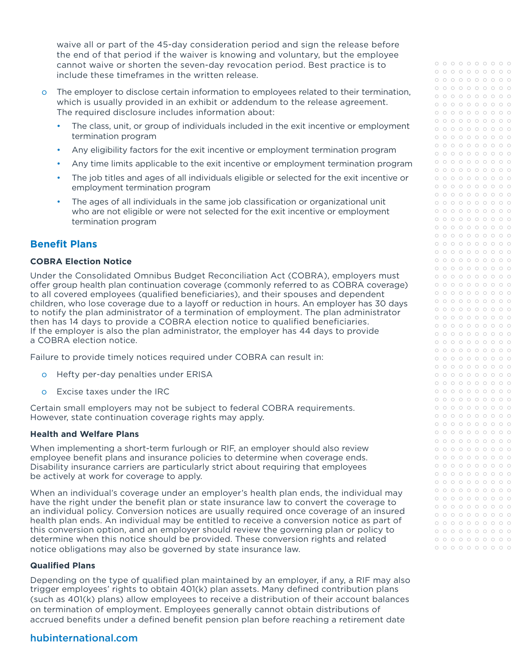waive all or part of the 45-day consideration period and sign the release before the end of that period if the waiver is knowing and voluntary, but the employee cannot waive or shorten the seven-day revocation period. Best practice is to include these timeframes in the written release.

- o The employer to disclose certain information to employees related to their termination, which is usually provided in an exhibit or addendum to the release agreement. The required disclosure includes information about:
	- The class, unit, or group of individuals included in the exit incentive or employment termination program
	- Any eligibility factors for the exit incentive or employment termination program
	- Any time limits applicable to the exit incentive or employment termination program
	- The job titles and ages of all individuals eligible or selected for the exit incentive or employment termination program
	- The ages of all individuals in the same job classification or organizational unit who are not eligible or were not selected for the exit incentive or employment termination program

# **Benefit Plans**

#### **COBRA Election Notice**

Under the Consolidated Omnibus Budget Reconciliation Act (COBRA), employers must offer group health plan continuation coverage (commonly referred to as COBRA coverage) to all covered employees (qualified beneficiaries), and their spouses and dependent children, who lose coverage due to a layoff or reduction in hours. An employer has 30 days to notify the plan administrator of a termination of employment. The plan administrator then has 14 days to provide a COBRA election notice to qualified beneficiaries. If the employer is also the plan administrator, the employer has 44 days to provide a COBRA election notice.

Failure to provide timely notices required under COBRA can result in:

- o Hefty per-day penalties under ERISA
- o Excise taxes under the IRC

Certain small employers may not be subject to federal COBRA requirements. However, state continuation coverage rights may apply.

#### **Health and Welfare Plans**

When implementing a short-term furlough or RIF, an employer should also review employee benefit plans and insurance policies to determine when coverage ends. Disability insurance carriers are particularly strict about requiring that employees be actively at work for coverage to apply.

When an individual's coverage under an employer's health plan ends, the individual may have the right under the benefit plan or state insurance law to convert the coverage to an individual policy. Conversion notices are usually required once coverage of an insured health plan ends. An individual may be entitled to receive a conversion notice as part of this conversion option, and an employer should review the governing plan or policy to determine when this notice should be provided. These conversion rights and related notice obligations may also be governed by state insurance law.

#### **Qualified Plans**

Depending on the type of qualified plan maintained by an employer, if any, a RIF may also trigger employees' rights to obtain 401(k) plan assets. Many defined contribution plans (such as 401(k) plans) allow employees to receive a distribution of their account balances on termination of employment. Employees generally cannot obtain distributions of accrued benefits under a defined benefit pension plan before reaching a retirement date

## [hubinternational.com](http://hubinternational.com)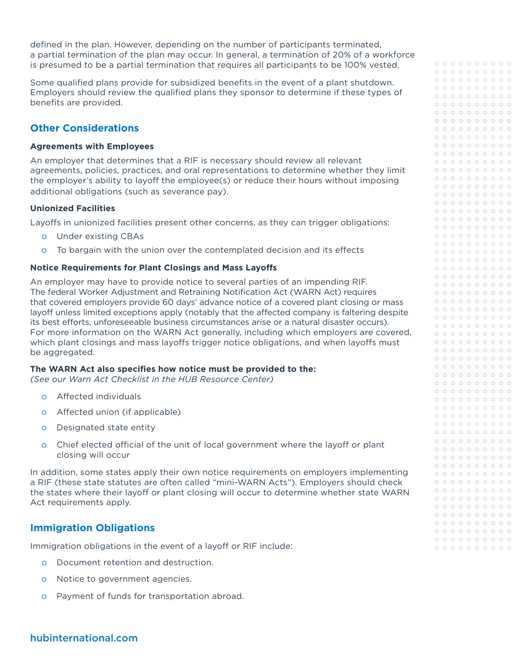defined in the plan. However, depending on the number of participants terminated, a partial termination of the plan may occur. In general, a termination of 20% of a workforce is presumed to be a partial termination that requires all participants to be 100% vested.

Some qualified plans provide for subsidized benefits in the event of a plant shutdown. Employers should review the qualified plans they sponsor to determine if these types of benefits are provided.

# **Other Considerations**

#### **Agreements with Employees**

An employer that determines that a RIF is necessary should review all relevant agreements, policies, practices, and oral representations to determine whether they limit the employer's ability to layoff the employee(s) or reduce their hours without imposing additional obligations (such as severance pay).

## **Unionized Facilities**

Layoffs in unionized facilities present other concerns, as they can trigger obligations:

- o Under existing CBAs
- o To bargain with the union over the contemplated decision and its effects

## **Notice Requirements for Plant Closings and Mass Layoffs**

An employer may have to provide notice to several parties of an impending RIF. The federal Worker Adjustment and Retraining Notification Act (WARN Act) requires that covered employers provide 60 days' advance notice of a covered plant closing or mass layoff unless limited exceptions apply (notably that the affected company is faltering despite its best efforts, unforeseeable business circumstances arise or a natural disaster occurs). For more information on the WARN Act generally, including which employers are covered, which plant closings and mass layoffs trigger notice obligations, and when layoffs must be aggregated.

## **The WARN Act also specifies how notice must be provided to the:**

*(See our Warn Act Checklist in the HUB Resource Center)*

- o Affected individuals
- o Affected union (if applicable)
- o Designated state entity
- o Chief elected official of the unit of local government where the layoff or plant closing will occur

In addition, some states apply their own notice requirements on employers implementing a RIF (these state statutes are often called "mini-WARN Acts"). Employers should check the states where their layoff or plant closing will occur to determine whether state WARN Act requirements apply.

# **Immigration Obligations**

Immigration obligations in the event of a layoff or RIF include:

- o Document retention and destruction.
- o Notice to government agencies.
- o Payment of funds for transportation abroad.

| $\circ$ | $\circ$ | $\circ$ | $\circ$ | $\circ$ | $\circ$ | $\circ$ | $\circ$ | $\circ$ | $\circ$ |
|---------|---------|---------|---------|---------|---------|---------|---------|---------|---------|
| $\circ$ | $\circ$ | $\circ$ | $\circ$ | $\circ$ | $\circ$ | $\circ$ | $\circ$ | $\circ$ | $\circ$ |
|         |         |         |         |         |         |         |         |         |         |
| $\circ$ | $\circ$ | $\circ$ | $\circ$ | $\circ$ | $\circ$ | $\circ$ | $\circ$ | $\circ$ | $\circ$ |
| $\circ$ | $\circ$ | $\circ$ | $\circ$ | $\circ$ | $\circ$ | $\circ$ | $\circ$ | $\circ$ | $\circ$ |
| $\circ$ | $\circ$ | $\circ$ | $\circ$ | $\circ$ | $\circ$ | $\circ$ | $\circ$ | $\circ$ | $\circ$ |
| $\circ$ | $\circ$ | $\circ$ | $\circ$ | $\circ$ | $\circ$ | $\circ$ | $\circ$ | $\circ$ | $\circ$ |
| $\circ$ | $\circ$ | $\circ$ | $\circ$ | $\circ$ | $\circ$ | $\circ$ | $\circ$ | $\circ$ | $\circ$ |
| $\circ$ | $\circ$ | $\circ$ | $\circ$ | $\circ$ | $\circ$ | $\circ$ | $\circ$ | $\circ$ | $\circ$ |
| $\circ$ | $\circ$ | $\circ$ | $\circ$ | $\circ$ | $\circ$ | $\circ$ | $\circ$ | $\circ$ | $\circ$ |
| $\circ$ | $\circ$ | $\circ$ | $\circ$ | $\circ$ | $\circ$ | $\circ$ | $\circ$ | $\circ$ | $\circ$ |
| $\circ$ | $\circ$ | $\circ$ | $\circ$ | $\circ$ | $\circ$ | $\circ$ | $\circ$ | $\circ$ | $\circ$ |
| $\circ$ | $\circ$ | $\circ$ | $\circ$ | $\circ$ | $\circ$ | $\circ$ | $\circ$ | $\circ$ | $\circ$ |
| $\circ$ | $\circ$ | $\circ$ | $\circ$ | $\circ$ | $\circ$ | $\circ$ | $\circ$ | $\circ$ | $\circ$ |
| $\circ$ | $\circ$ | $\circ$ | $\circ$ | $\circ$ | $\circ$ | $\circ$ | $\circ$ | $\circ$ | $\circ$ |
| $\circ$ | $\circ$ | $\circ$ | $\circ$ | $\circ$ | $\circ$ | $\circ$ | $\circ$ | $\circ$ | $\circ$ |
| $\circ$ | $\circ$ | $\circ$ | $\circ$ | $\circ$ | $\circ$ | $\circ$ | $\circ$ | $\circ$ | $\circ$ |
| $\circ$ | $\circ$ | $\circ$ | $\circ$ | $\circ$ | $\circ$ |         | $\circ$ | $\circ$ | $\circ$ |
|         |         |         |         |         |         | $\circ$ |         |         |         |
| $\circ$ | $\circ$ | $\circ$ | $\circ$ | $\circ$ | $\circ$ | $\circ$ | $\circ$ | $\circ$ | $\circ$ |
| $\circ$ | $\circ$ | $\circ$ | $\circ$ | $\circ$ | $\circ$ | $\circ$ | $\circ$ | $\circ$ | $\circ$ |
| $\circ$ | $\circ$ | $\circ$ | $\circ$ | $\circ$ | $\circ$ | $\circ$ | $\circ$ | $\circ$ | $\circ$ |
| $\circ$ | $\circ$ | $\circ$ | $\circ$ | $\circ$ | $\circ$ | $\circ$ | $\circ$ | $\circ$ | $\circ$ |
| $\circ$ | $\circ$ | $\circ$ | $\circ$ | $\circ$ | $\circ$ | $\circ$ | $\circ$ | $\circ$ | $\circ$ |
| $\circ$ | $\circ$ | $\circ$ | $\circ$ | $\circ$ | $\circ$ | $\circ$ | $\circ$ | $\circ$ | $\circ$ |
| $\circ$ | $\circ$ | $\circ$ | $\circ$ | $\circ$ | $\circ$ | $\circ$ | $\circ$ | $\circ$ | $\circ$ |
| $\circ$ | $\circ$ | $\circ$ | $\circ$ | $\circ$ | $\circ$ | $\circ$ | $\circ$ | $\circ$ | $\circ$ |
| $\circ$ | $\circ$ | $\circ$ | $\circ$ | $\circ$ | $\circ$ | $\circ$ | $\circ$ | $\circ$ | $\circ$ |
| $\circ$ | $\circ$ | $\circ$ | $\circ$ | $\circ$ | $\circ$ | $\circ$ | $\circ$ | $\circ$ | $\circ$ |
| $\circ$ | $\circ$ | $\circ$ | $\circ$ | $\circ$ | $\circ$ | $\circ$ | $\circ$ | $\circ$ | $\circ$ |
| $\circ$ | $\circ$ | $\circ$ | $\circ$ | $\circ$ | $\circ$ | $\circ$ | $\circ$ | $\circ$ | $\circ$ |
| $\circ$ | $\circ$ | $\circ$ | $\circ$ | $\circ$ | $\circ$ | $\circ$ | $\circ$ | $\circ$ | $\circ$ |
| $\circ$ | $\circ$ | $\circ$ | $\circ$ | $\circ$ | $\circ$ | $\circ$ | $\circ$ | $\circ$ | $\circ$ |
| $\circ$ | $\circ$ | $\circ$ | $\circ$ | $\circ$ | $\circ$ | $\circ$ | $\circ$ | $\circ$ | $\circ$ |
| $\circ$ | $\circ$ | $\circ$ | $\circ$ | $\circ$ | $\circ$ | $\circ$ | $\circ$ | $\circ$ | $\circ$ |
| $\circ$ | $\circ$ | $\circ$ | $\circ$ | $\circ$ | $\circ$ | $\circ$ | $\circ$ | $\circ$ | $\circ$ |
| $\circ$ | $\circ$ | $\circ$ | $\circ$ | $\circ$ | $\circ$ | $\circ$ | $\circ$ | $\circ$ | $\circ$ |
| $\circ$ | $\circ$ | $\circ$ | $\circ$ | $\circ$ | $\circ$ | $\circ$ | $\circ$ | $\circ$ | $\circ$ |
|         | $\circ$ |         |         |         |         | $\circ$ |         |         |         |
| $\circ$ |         | $\circ$ | $\circ$ | $\circ$ | $\circ$ |         | $\circ$ | $\circ$ | $\circ$ |
| $\circ$ | $\circ$ | $\circ$ | $\circ$ | $\circ$ | $\circ$ | $\circ$ | $\circ$ | $\circ$ | $\circ$ |
| $\circ$ | $\circ$ | $\circ$ | $\circ$ | $\circ$ | $\circ$ | $\circ$ | $\circ$ | $\circ$ | $\circ$ |
| $\circ$ | $\circ$ | $\circ$ | $\circ$ | $\circ$ | $\circ$ | $\circ$ | $\circ$ | $\circ$ | $\circ$ |
| $\circ$ | $\circ$ | $\circ$ | $\circ$ | $\circ$ | $\circ$ | $\circ$ | $\circ$ | $\circ$ | $\circ$ |
| $\circ$ | $\circ$ | $\circ$ | $\circ$ | $\circ$ | $\circ$ | $\circ$ | $\circ$ | $\circ$ | $\circ$ |
| $\circ$ | $\circ$ | $\circ$ | $\circ$ | $\circ$ | $\circ$ | $\circ$ | $\circ$ | $\circ$ | $\circ$ |
| $\circ$ | $\circ$ | $\circ$ | $\circ$ | $\circ$ | $\circ$ | $\circ$ | $\circ$ | $\circ$ | $\circ$ |
| $\circ$ | $\circ$ | $\circ$ | $\circ$ | $\circ$ | $\circ$ | $\circ$ | $\circ$ | $\circ$ | $\circ$ |
|         |         |         |         |         |         |         |         |         |         |
| $\circ$ | $\circ$ | $\circ$ | $\circ$ | $\circ$ | $\circ$ | $\circ$ | $\circ$ | $\circ$ | $\circ$ |
| $\circ$ | $\circ$ | $\circ$ | $\circ$ | $\circ$ | $\circ$ | $\circ$ | $\circ$ | $\circ$ | $\circ$ |
| $\circ$ | $\circ$ | $\circ$ | $\circ$ | $\circ$ | $\circ$ | $\circ$ | $\circ$ | $\circ$ | $\circ$ |
| $\circ$ | $\circ$ | $\circ$ | $\circ$ | $\circ$ | $\circ$ | $\circ$ | $\circ$ | $\circ$ | $\circ$ |
| $\circ$ | $\circ$ | $\circ$ | $\circ$ | $\circ$ | $\circ$ | $\circ$ | $\circ$ | $\circ$ | $\circ$ |
| $\circ$ | $\circ$ | $\circ$ | $\circ$ | $\circ$ | $\circ$ | $\circ$ | $\circ$ | $\circ$ | $\circ$ |
|         |         |         |         |         |         |         |         |         |         |
| $\circ$ | O       | $\circ$ | $\circ$ | $\circ$ | $\circ$ | $\circ$ | $\circ$ | $\circ$ | $\circ$ |
| $\circ$ | $\circ$ | $\circ$ | $\circ$ | $\circ$ | $\circ$ | $\circ$ | $\circ$ | $\circ$ | $\circ$ |
| $\circ$ | $\circ$ | $\circ$ | $\circ$ | $\circ$ | $\circ$ | $\circ$ | $\circ$ | $\circ$ | $\circ$ |
| $\circ$ | $\circ$ | $\circ$ | $\circ$ | $\circ$ | $\circ$ | $\circ$ | $\circ$ | $\circ$ | $\circ$ |
| $\circ$ | $\circ$ | $\circ$ | $\circ$ | $\circ$ | $\circ$ | $\circ$ | $\circ$ | $\circ$ | $\circ$ |
| $\circ$ | $\circ$ | $\circ$ | $\circ$ | $\circ$ | $\circ$ | $\circ$ | $\circ$ | $\circ$ | $\circ$ |
| $\circ$ | $\circ$ | $\circ$ | $\circ$ | $\circ$ | $\circ$ | $\circ$ | $\circ$ | $\circ$ | $\circ$ |
| $\circ$ | $\circ$ | $\circ$ | $\circ$ | $\circ$ | $\circ$ | $\circ$ | $\circ$ | $\circ$ | $\circ$ |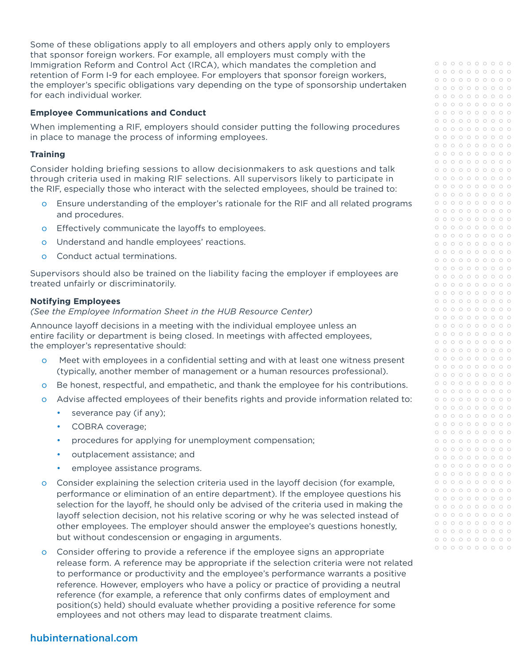Some of these obligations apply to all employers and others apply only to employers that sponsor foreign workers. For example, all employers must comply with the Immigration Reform and Control Act (IRCA), which mandates the completion and retention of Form I-9 for each employee. For employers that sponsor foreign workers, the employer's specific obligations vary depending on the type of sponsorship undertaken for each individual worker.

## **Employee Communications and Conduct**

When implementing a RIF, employers should consider putting the following procedures in place to manage the process of informing employees.

#### **Training**

Consider holding briefing sessions to allow decisionmakers to ask questions and talk through criteria used in making RIF selections. All supervisors likely to participate in the RIF, especially those who interact with the selected employees, should be trained to:

- o Ensure understanding of the employer's rationale for the RIF and all related programs and procedures.
- o Effectively communicate the layoffs to employees.
- o Understand and handle employees' reactions.
- o Conduct actual terminations.

Supervisors should also be trained on the liability facing the employer if employees are treated unfairly or discriminatorily.

#### **Notifying Employees**

*(See the Employee Information Sheet in the HUB Resource Center)*

Announce layoff decisions in a meeting with the individual employee unless an entire facility or department is being closed. In meetings with affected employees, the employer's representative should:

- o Meet with employees in a confidential setting and with at least one witness present (typically, another member of management or a human resources professional).
- o Be honest, respectful, and empathetic, and thank the employee for his contributions.
- o Advise affected employees of their benefits rights and provide information related to:
	- severance pay (if any);
	- COBRA coverage;
	- procedures for applying for unemployment compensation;
	- outplacement assistance; and
	- employee assistance programs.
- o Consider explaining the selection criteria used in the layoff decision (for example, performance or elimination of an entire department). If the employee questions his selection for the layoff, he should only be advised of the criteria used in making the layoff selection decision, not his relative scoring or why he was selected instead of other employees. The employer should answer the employee's questions honestly, but without condescension or engaging in arguments.
- o Consider offering to provide a reference if the employee signs an appropriate release form. A reference may be appropriate if the selection criteria were not related to performance or productivity and the employee's performance warrants a positive reference. However, employers who have a policy or practice of providing a neutral reference (for example, a reference that only confirms dates of employment and position(s) held) should evaluate whether providing a positive reference for some employees and not others may lead to disparate treatment claims.

| $\circ$ | $\circ$ | $\circ$ | $\circ$ | $\circ$ | $\circ$ | $\circ$ | $\circ$ | $\circ$ | $\circ$ |
|---------|---------|---------|---------|---------|---------|---------|---------|---------|---------|
| $\circ$ | $\circ$ | $\circ$ | $\circ$ | $\circ$ | $\circ$ | $\circ$ | $\circ$ | $\circ$ | $\circ$ |
| $\circ$ | $\circ$ | $\circ$ | $\circ$ | $\circ$ | $\circ$ | $\circ$ | $\circ$ | $\circ$ | $\circ$ |
| $\circ$ | $\circ$ | $\circ$ | $\circ$ | $\circ$ | $\circ$ | $\circ$ | $\circ$ | $\circ$ | $\circ$ |
| $\circ$ | $\circ$ | $\circ$ | $\circ$ | $\circ$ | $\circ$ | $\circ$ | $\circ$ | $\circ$ | $\circ$ |
| $\circ$ | $\circ$ | $\circ$ | $\circ$ | $\circ$ | $\circ$ | $\circ$ | $\circ$ | $\circ$ | $\circ$ |
| $\circ$ | $\circ$ | $\circ$ | $\circ$ | $\circ$ | $\circ$ | $\circ$ | $\circ$ | $\circ$ | $\circ$ |
| $\circ$ | $\circ$ | $\circ$ | $\circ$ | $\circ$ | $\circ$ | $\circ$ | $\circ$ | $\circ$ | $\circ$ |
| $\circ$ | $\circ$ | $\circ$ | $\circ$ | $\circ$ | $\circ$ | $\circ$ | $\circ$ | $\circ$ | $\circ$ |
| $\circ$ | $\circ$ | $\circ$ | $\circ$ | $\circ$ | $\circ$ | $\circ$ | $\circ$ | $\circ$ | $\circ$ |
| $\circ$ | $\circ$ | $\circ$ | $\circ$ | $\circ$ | $\circ$ | $\circ$ | $\circ$ | $\circ$ | $\circ$ |
| $\circ$ | $\circ$ | $\circ$ | $\circ$ | $\circ$ | $\circ$ | $\circ$ | $\circ$ | $\circ$ | $\circ$ |
| $\circ$ | $\circ$ | $\circ$ | $\circ$ | $\circ$ | $\circ$ | $\circ$ | $\circ$ | $\circ$ | $\circ$ |
| $\circ$ | $\circ$ | $\circ$ | $\circ$ | $\circ$ | $\circ$ | $\circ$ | $\circ$ | $\circ$ | $\circ$ |
| $\circ$ | $\circ$ | $\circ$ | $\circ$ | $\circ$ | $\circ$ | $\circ$ | $\circ$ | $\circ$ | $\circ$ |
| $\circ$ | $\circ$ | $\circ$ | $\circ$ | $\circ$ | $\circ$ | $\circ$ | $\circ$ | $\circ$ | $\circ$ |
|         |         |         |         |         |         |         |         |         |         |
| $\circ$ | $\circ$ | $\circ$ | $\circ$ | $\circ$ | $\circ$ | $\circ$ | $\circ$ | $\circ$ | $\circ$ |
| $\circ$ | $\circ$ | $\circ$ | $\circ$ | $\circ$ | $\circ$ | $\circ$ | $\circ$ | $\circ$ | $\circ$ |
| $\circ$ | $\circ$ | $\circ$ | $\circ$ | $\circ$ | $\circ$ | $\circ$ | $\circ$ | $\circ$ | $\circ$ |
| $\circ$ | $\circ$ | $\circ$ | $\circ$ | $\circ$ | $\circ$ | $\circ$ | $\circ$ | $\circ$ | $\circ$ |
| $\circ$ | $\circ$ | $\circ$ | $\circ$ | $\circ$ | $\circ$ | $\circ$ | $\circ$ | $\circ$ | $\circ$ |
| $\circ$ | $\circ$ | $\circ$ | $\circ$ | $\circ$ | $\circ$ | $\circ$ | $\circ$ | $\circ$ | $\circ$ |
| $\circ$ | $\circ$ | $\circ$ | $\circ$ | $\circ$ | $\circ$ | $\circ$ | $\circ$ | $\circ$ | $\circ$ |
| $\circ$ | $\circ$ | $\circ$ | $\circ$ | $\circ$ | $\circ$ | $\circ$ | $\circ$ | $\circ$ | $\circ$ |
| $\circ$ | $\circ$ | $\circ$ | $\circ$ | $\circ$ | $\circ$ | $\circ$ | $\circ$ | $\circ$ | $\circ$ |
| $\circ$ | $\circ$ | $\circ$ | $\circ$ | $\circ$ | $\circ$ | $\circ$ | $\circ$ | $\circ$ | $\circ$ |
| $\circ$ | $\circ$ | $\circ$ | $\circ$ | $\circ$ | $\circ$ | $\circ$ | $\circ$ | $\circ$ | $\circ$ |
| $\circ$ | $\circ$ | $\circ$ | $\circ$ | $\circ$ | $\circ$ | $\circ$ | $\circ$ | $\circ$ | $\circ$ |
| $\circ$ | $\circ$ | $\circ$ | $\circ$ | $\circ$ | $\circ$ | $\circ$ | $\circ$ | $\circ$ | $\circ$ |
| $\circ$ | $\circ$ | $\circ$ | $\circ$ | $\circ$ | $\circ$ | $\circ$ | $\circ$ | $\circ$ | $\circ$ |
| $\circ$ | $\circ$ | $\circ$ | $\circ$ | $\circ$ | $\circ$ | $\circ$ | $\circ$ | $\circ$ | $\circ$ |
| $\circ$ | $\circ$ | $\circ$ | $\circ$ | $\circ$ | $\circ$ | $\circ$ | $\circ$ | $\circ$ | $\circ$ |
| $\circ$ | $\circ$ | $\circ$ | $\circ$ | $\circ$ | $\circ$ | $\circ$ | $\circ$ | $\circ$ | $\circ$ |
| $\circ$ | $\circ$ | $\circ$ | $\circ$ | $\circ$ | $\circ$ | $\circ$ | $\circ$ | $\circ$ | $\circ$ |
| $\circ$ | $\circ$ | $\circ$ | $\circ$ | $\circ$ | $\circ$ | $\circ$ | $\circ$ | $\circ$ | $\circ$ |
| $\circ$ | $\circ$ | $\circ$ | $\circ$ | $\circ$ | $\circ$ | $\circ$ | $\circ$ | $\circ$ | $\circ$ |
| $\circ$ | $\circ$ | $\circ$ | $\circ$ | $\circ$ | $\circ$ | $\circ$ | $\circ$ | $\circ$ | $\circ$ |
| $\circ$ | $\circ$ | $\circ$ | $\circ$ | $\circ$ | $\circ$ | $\circ$ | $\circ$ | $\circ$ | $\circ$ |
| $\circ$ | $\circ$ | $\circ$ | $\circ$ | $\circ$ | $\circ$ | $\circ$ | $\circ$ | $\circ$ | $\circ$ |
| $\circ$ | $\circ$ | $\circ$ | $\circ$ | $\circ$ | $\circ$ | $\circ$ | $\circ$ | $\circ$ | $\circ$ |
| $\circ$ | $\circ$ | $\circ$ | $\circ$ | $\circ$ | $\circ$ | $\circ$ | $\circ$ | $\circ$ | $\circ$ |
| $\circ$ | $\circ$ | $\circ$ | $\circ$ | $\circ$ | $\circ$ | $\circ$ | $\circ$ | $\circ$ | $\circ$ |
| $\circ$ | $\circ$ | $\circ$ | $\circ$ | $\circ$ | $\circ$ | $\circ$ | $\circ$ | $\circ$ | $\circ$ |
| $\circ$ | $\circ$ | $\circ$ | $\circ$ | $\circ$ | $\circ$ | $\circ$ | $\circ$ | $\circ$ | $\circ$ |
| $\circ$ | $\circ$ | $\circ$ | $\circ$ | $\circ$ | $\circ$ | $\circ$ | $\circ$ | $\circ$ | $\circ$ |
|         |         |         |         |         |         |         |         |         |         |
| O       | O       | O       | O       | O       | O       | O       | O       | O       | O       |
| $\circ$ | $\circ$ | $\circ$ | $\circ$ | $\circ$ | $\circ$ | $\circ$ | $\circ$ | $\circ$ | $\circ$ |
| $\circ$ | $\circ$ | $\circ$ | $\circ$ | $\circ$ | $\circ$ | $\circ$ | $\circ$ | $\circ$ | $\circ$ |
| $\circ$ | $\circ$ | $\circ$ | $\circ$ | $\circ$ | $\circ$ | $\circ$ | $\circ$ | $\circ$ | $\circ$ |
| $\circ$ | $\circ$ | $\circ$ | $\circ$ | $\circ$ | $\circ$ | $\circ$ | $\circ$ | $\circ$ | $\circ$ |
| $\circ$ | $\circ$ | $\circ$ | $\circ$ | $\circ$ | $\circ$ | $\circ$ | $\circ$ | $\circ$ | $\circ$ |
| $\circ$ | $\circ$ | $\circ$ | $\circ$ | $\circ$ | $\circ$ | $\circ$ | $\circ$ | $\circ$ | $\circ$ |
| $\circ$ | $\circ$ | $\circ$ | $\circ$ | $\circ$ | $\circ$ | $\circ$ | $\circ$ | $\circ$ | $\circ$ |
| $\circ$ | $\circ$ | $\circ$ | $\circ$ | $\circ$ | $\circ$ | $\circ$ | $\circ$ | $\circ$ | $\circ$ |
| $\circ$ | $\circ$ | $\circ$ | $\circ$ | $\circ$ | $\circ$ | $\circ$ | $\circ$ | $\circ$ | $\circ$ |
| $\circ$ | $\circ$ | $\circ$ | $\circ$ | $\circ$ | $\circ$ | $\circ$ | $\circ$ | $\circ$ | $\circ$ |
| $\circ$ | $\circ$ | $\circ$ | $\circ$ | $\circ$ | $\circ$ | $\circ$ | $\circ$ | $\circ$ | $\circ$ |
| $\circ$ | $\circ$ | $\circ$ | $\circ$ | $\circ$ | $\circ$ | $\circ$ | $\circ$ | $\circ$ | $\circ$ |
| $\circ$ | $\circ$ | $\circ$ | $\circ$ | $\circ$ | $\circ$ | $\circ$ | $\circ$ | $\circ$ | $\circ$ |
| $\circ$ | $\circ$ | $\circ$ | $\circ$ | $\circ$ | $\circ$ | $\circ$ | $\circ$ | $\circ$ | $\circ$ |